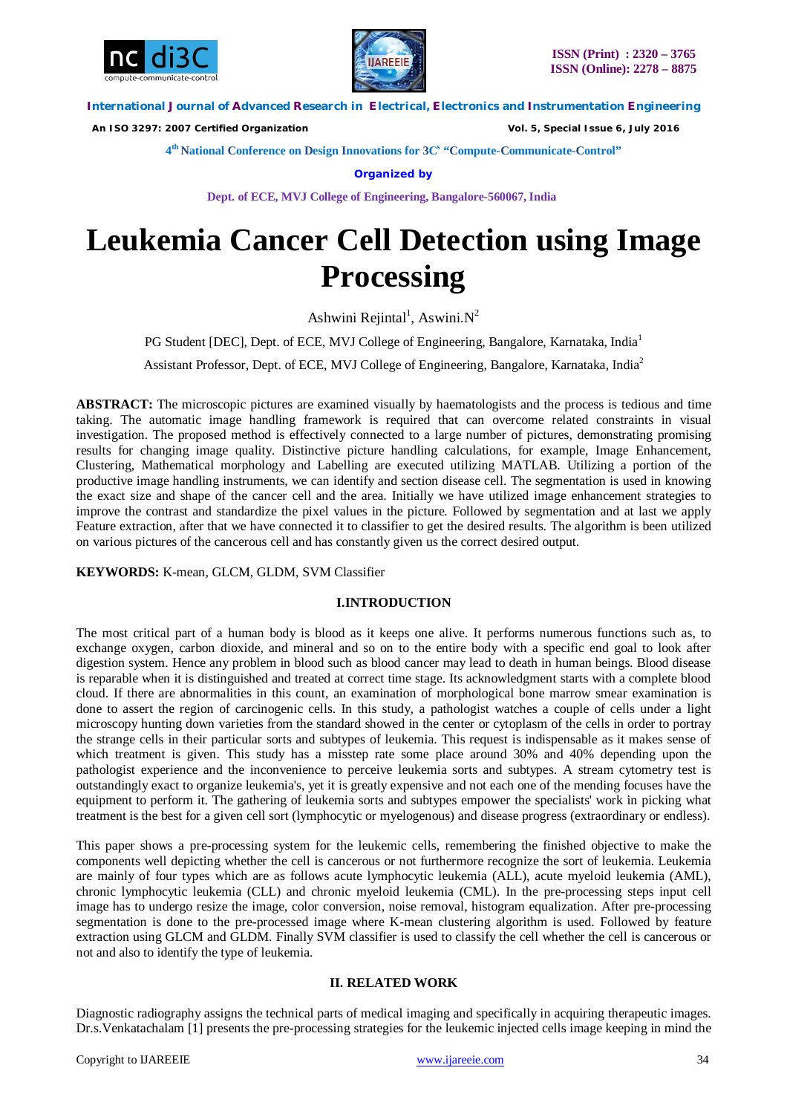



 *An ISO 3297: 2007 Certified Organization Vol. 5, Special Issue 6, July 2016*

**4 th National Conference on Design Innovations for 3C s "Compute-Communicate-Control"** 

**Organized by**

**Dept. of ECE, MVJ College of Engineering, Bangalore-560067, India**

# **Leukemia Cancer Cell Detection using Image Processing**

Ashwini Rejintal<sup>1</sup>, Aswini. $N^2$ 

PG Student [DEC], Dept. of ECE, MVJ College of Engineering, Bangalore, Karnataka, India<sup>1</sup>

Assistant Professor, Dept. of ECE, MVJ College of Engineering, Bangalore, Karnataka, India<sup>2</sup>

**ABSTRACT:** The microscopic pictures are examined visually by haematologists and the process is tedious and time taking. The automatic image handling framework is required that can overcome related constraints in visual investigation. The proposed method is effectively connected to a large number of pictures, demonstrating promising results for changing image quality. Distinctive picture handling calculations, for example, Image Enhancement, Clustering, Mathematical morphology and Labelling are executed utilizing MATLAB. Utilizing a portion of the productive image handling instruments, we can identify and section disease cell. The segmentation is used in knowing the exact size and shape of the cancer cell and the area. Initially we have utilized image enhancement strategies to improve the contrast and standardize the pixel values in the picture. Followed by segmentation and at last we apply Feature extraction, after that we have connected it to classifier to get the desired results. The algorithm is been utilized on various pictures of the cancerous cell and has constantly given us the correct desired output.

**KEYWORDS:** K-mean, GLCM, GLDM, SVM Classifier

# **I.INTRODUCTION**

The most critical part of a human body is blood as it keeps one alive. It performs numerous functions such as, to exchange oxygen, carbon dioxide, and mineral and so on to the entire body with a specific end goal to look after digestion system. Hence any problem in blood such as blood cancer may lead to death in human beings. Blood disease is reparable when it is distinguished and treated at correct time stage. Its acknowledgment starts with a complete blood cloud. If there are abnormalities in this count, an examination of morphological bone marrow smear examination is done to assert the region of carcinogenic cells. In this study, a pathologist watches a couple of cells under a light microscopy hunting down varieties from the standard showed in the center or cytoplasm of the cells in order to portray the strange cells in their particular sorts and subtypes of leukemia. This request is indispensable as it makes sense of which treatment is given. This study has a misstep rate some place around 30% and 40% depending upon the pathologist experience and the inconvenience to perceive leukemia sorts and subtypes. A stream cytometry test is outstandingly exact to organize leukemia's, yet it is greatly expensive and not each one of the mending focuses have the equipment to perform it. The gathering of leukemia sorts and subtypes empower the specialists' work in picking what treatment is the best for a given cell sort (lymphocytic or myelogenous) and disease progress (extraordinary or endless).

This paper shows a pre-processing system for the leukemic cells, remembering the finished objective to make the components well depicting whether the cell is cancerous or not furthermore recognize the sort of leukemia. Leukemia are mainly of four types which are as follows acute lymphocytic leukemia (ALL), acute myeloid leukemia (AML), chronic lymphocytic leukemia (CLL) and chronic myeloid leukemia (CML). In the pre-processing steps input cell image has to undergo resize the image, color conversion, noise removal, histogram equalization. After pre-processing segmentation is done to the pre-processed image where K-mean clustering algorithm is used. Followed by feature extraction using GLCM and GLDM. Finally SVM classifier is used to classify the cell whether the cell is cancerous or not and also to identify the type of leukemia.

# **II. RELATED WORK**

Diagnostic radiography assigns the technical parts of medical imaging and specifically in acquiring therapeutic images. Dr.s.Venkatachalam [1] presents the pre-processing strategies for the leukemic injected cells image keeping in mind the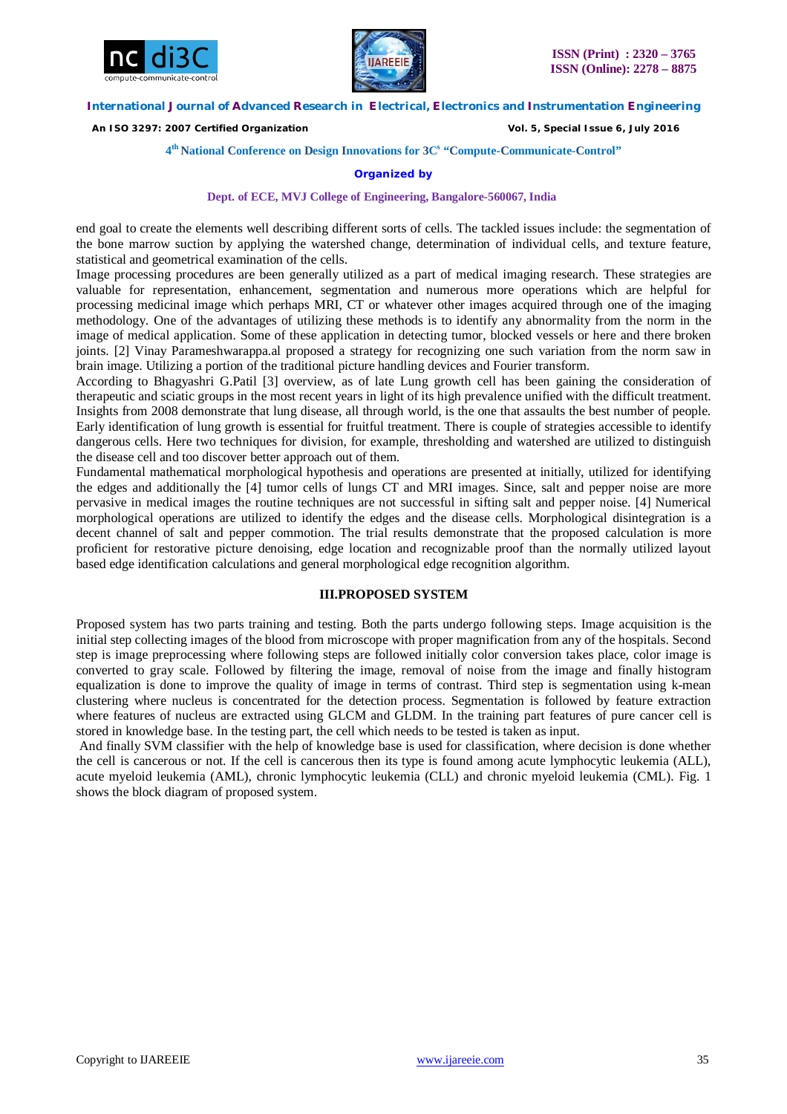



 *An ISO 3297: 2007 Certified Organization Vol. 5, Special Issue 6, July 2016*

#### **4 th National Conference on Design Innovations for 3C s "Compute-Communicate-Control"**

#### **Organized by**

#### **Dept. of ECE, MVJ College of Engineering, Bangalore-560067, India**

end goal to create the elements well describing different sorts of cells. The tackled issues include: the segmentation of the bone marrow suction by applying the watershed change, determination of individual cells, and texture feature, statistical and geometrical examination of the cells.

Image processing procedures are been generally utilized as a part of medical imaging research. These strategies are valuable for representation, enhancement, segmentation and numerous more operations which are helpful for processing medicinal image which perhaps MRI, CT or whatever other images acquired through one of the imaging methodology. One of the advantages of utilizing these methods is to identify any abnormality from the norm in the image of medical application. Some of these application in detecting tumor, blocked vessels or here and there broken joints. [2] Vinay Parameshwarappa.al proposed a strategy for recognizing one such variation from the norm saw in brain image. Utilizing a portion of the traditional picture handling devices and Fourier transform.

According to Bhagyashri G.Patil [3] overview, as of late Lung growth cell has been gaining the consideration of therapeutic and sciatic groups in the most recent years in light of its high prevalence unified with the difficult treatment. Insights from 2008 demonstrate that lung disease, all through world, is the one that assaults the best number of people. Early identification of lung growth is essential for fruitful treatment. There is couple of strategies accessible to identify dangerous cells. Here two techniques for division, for example, thresholding and watershed are utilized to distinguish the disease cell and too discover better approach out of them.

Fundamental mathematical morphological hypothesis and operations are presented at initially, utilized for identifying the edges and additionally the [4] tumor cells of lungs CT and MRI images. Since, salt and pepper noise are more pervasive in medical images the routine techniques are not successful in sifting salt and pepper noise. [4] Numerical morphological operations are utilized to identify the edges and the disease cells. Morphological disintegration is a decent channel of salt and pepper commotion. The trial results demonstrate that the proposed calculation is more proficient for restorative picture denoising, edge location and recognizable proof than the normally utilized layout based edge identification calculations and general morphological edge recognition algorithm.

#### **III.PROPOSED SYSTEM**

Proposed system has two parts training and testing. Both the parts undergo following steps. Image acquisition is the initial step collecting images of the blood from microscope with proper magnification from any of the hospitals. Second step is image preprocessing where following steps are followed initially color conversion takes place, color image is converted to gray scale. Followed by filtering the image, removal of noise from the image and finally histogram equalization is done to improve the quality of image in terms of contrast. Third step is segmentation using k-mean clustering where nucleus is concentrated for the detection process. Segmentation is followed by feature extraction where features of nucleus are extracted using GLCM and GLDM. In the training part features of pure cancer cell is stored in knowledge base. In the testing part, the cell which needs to be tested is taken as input.

And finally SVM classifier with the help of knowledge base is used for classification, where decision is done whether the cell is cancerous or not. If the cell is cancerous then its type is found among acute lymphocytic leukemia (ALL), acute myeloid leukemia (AML), chronic lymphocytic leukemia (CLL) and chronic myeloid leukemia (CML). Fig. 1 shows the block diagram of proposed system.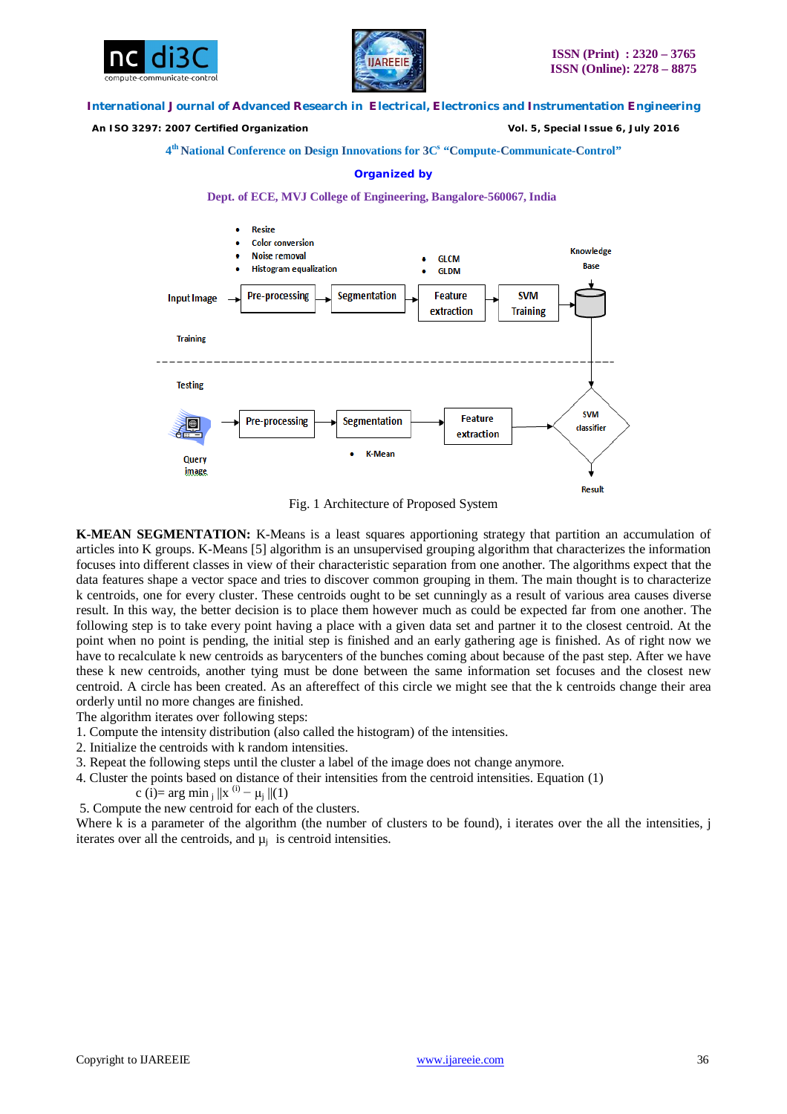



 *An ISO 3297: 2007 Certified Organization Vol. 5, Special Issue 6, July 2016*

**4 th National Conference on Design Innovations for 3C s "Compute-Communicate-Control"** 

#### **Organized by**





Fig. 1 Architecture of Proposed System

**K-MEAN SEGMENTATION:** K-Means is a least squares apportioning strategy that partition an accumulation of articles into K groups. K-Means [5] algorithm is an unsupervised grouping algorithm that characterizes the information focuses into different classes in view of their characteristic separation from one another. The algorithms expect that the data features shape a vector space and tries to discover common grouping in them. The main thought is to characterize k centroids, one for every cluster. These centroids ought to be set cunningly as a result of various area causes diverse result. In this way, the better decision is to place them however much as could be expected far from one another. The following step is to take every point having a place with a given data set and partner it to the closest centroid. At the point when no point is pending, the initial step is finished and an early gathering age is finished. As of right now we have to recalculate k new centroids as barycenters of the bunches coming about because of the past step. After we have these k new centroids, another tying must be done between the same information set focuses and the closest new centroid. A circle has been created. As an aftereffect of this circle we might see that the k centroids change their area orderly until no more changes are finished.

The algorithm iterates over following steps:

- 1. Compute the intensity distribution (also called the histogram) of the intensities.
- 2. Initialize the centroids with k random intensities.
- 3. Repeat the following steps until the cluster a label of the image does not change anymore.
- 4. Cluster the points based on distance of their intensities from the centroid intensities. Equation (1)

c (i)= arg min  $_{j}$  ||x<sup>(i)</sup> –  $\mu$ <sub>j</sub> ||(1)

5. Compute the new centroid for each of the clusters.

Where k is a parameter of the algorithm (the number of clusters to be found), i iterates over the all the intensities, j iterates over all the centroids, and  $\mu_i$  is centroid intensities.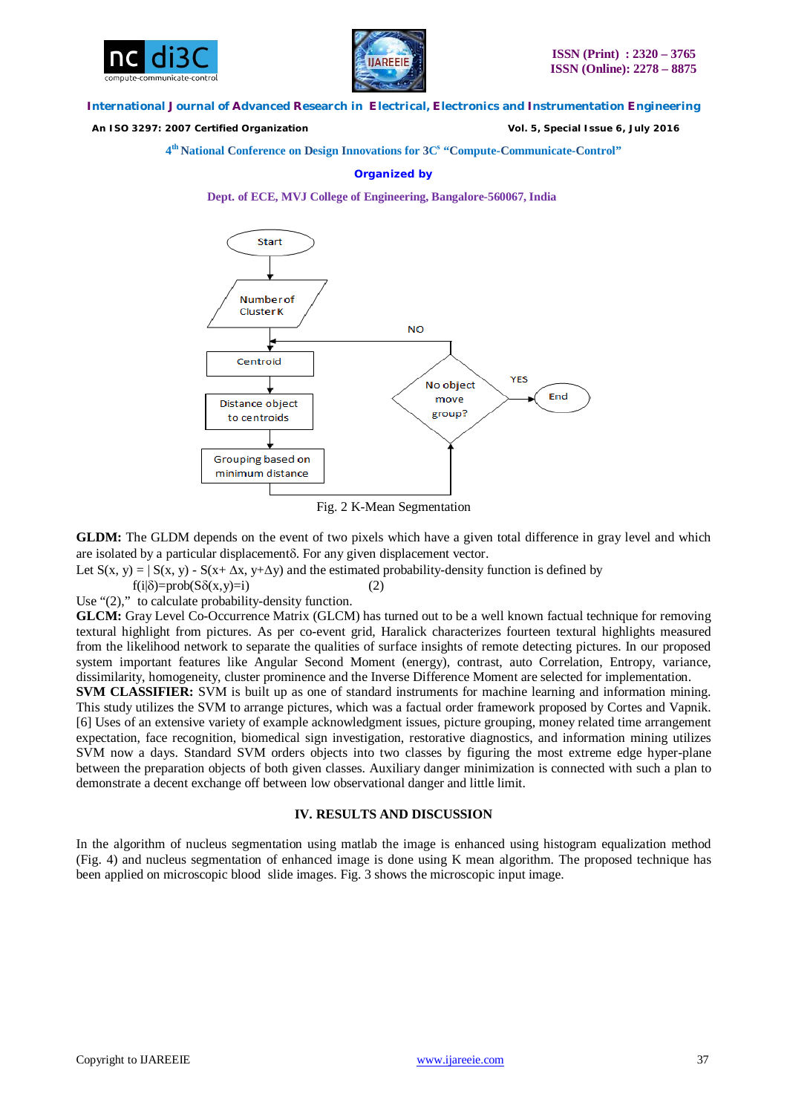



 *An ISO 3297: 2007 Certified Organization Vol. 5, Special Issue 6, July 2016*

**4 th National Conference on Design Innovations for 3C s "Compute-Communicate-Control"** 

#### **Organized by**

**Dept. of ECE, MVJ College of Engineering, Bangalore-560067, India**



Fig. 2 K-Mean Segmentation

**GLDM:** The GLDM depends on the event of two pixels which have a given total difference in gray level and which are isolated by a particular displacement $\delta$ . For any given displacement vector.

Let  $S(x, y) = | S(x, y) - S(x + \Delta x, y + \Delta y)|$  and the estimated probability-density function is defined by

 $f(i|\delta) = prob(S\delta(x,y)=i)$  (2)

Use "(2)," to calculate probability-density function.

**GLCM:** Gray Level Co-Occurrence Matrix (GLCM) has turned out to be a well known factual technique for removing textural highlight from pictures. As per co-event grid, Haralick characterizes fourteen textural highlights measured from the likelihood network to separate the qualities of surface insights of remote detecting pictures. In our proposed system important features like Angular Second Moment (energy), contrast, auto Correlation, Entropy, variance, dissimilarity, homogeneity, cluster prominence and the Inverse Difference Moment are selected for implementation.

**SVM CLASSIFIER:** SVM is built up as one of standard instruments for machine learning and information mining. This study utilizes the SVM to arrange pictures, which was a factual order framework proposed by Cortes and Vapnik. [6] Uses of an extensive variety of example acknowledgment issues, picture grouping, money related time arrangement expectation, face recognition, biomedical sign investigation, restorative diagnostics, and information mining utilizes SVM now a days. Standard SVM orders objects into two classes by figuring the most extreme edge hyper-plane between the preparation objects of both given classes. Auxiliary danger minimization is connected with such a plan to demonstrate a decent exchange off between low observational danger and little limit.

# **IV. RESULTS AND DISCUSSION**

In the algorithm of nucleus segmentation using matlab the image is enhanced using histogram equalization method (Fig. 4) and nucleus segmentation of enhanced image is done using K mean algorithm. The proposed technique has been applied on microscopic blood slide images. Fig. 3 shows the microscopic input image.